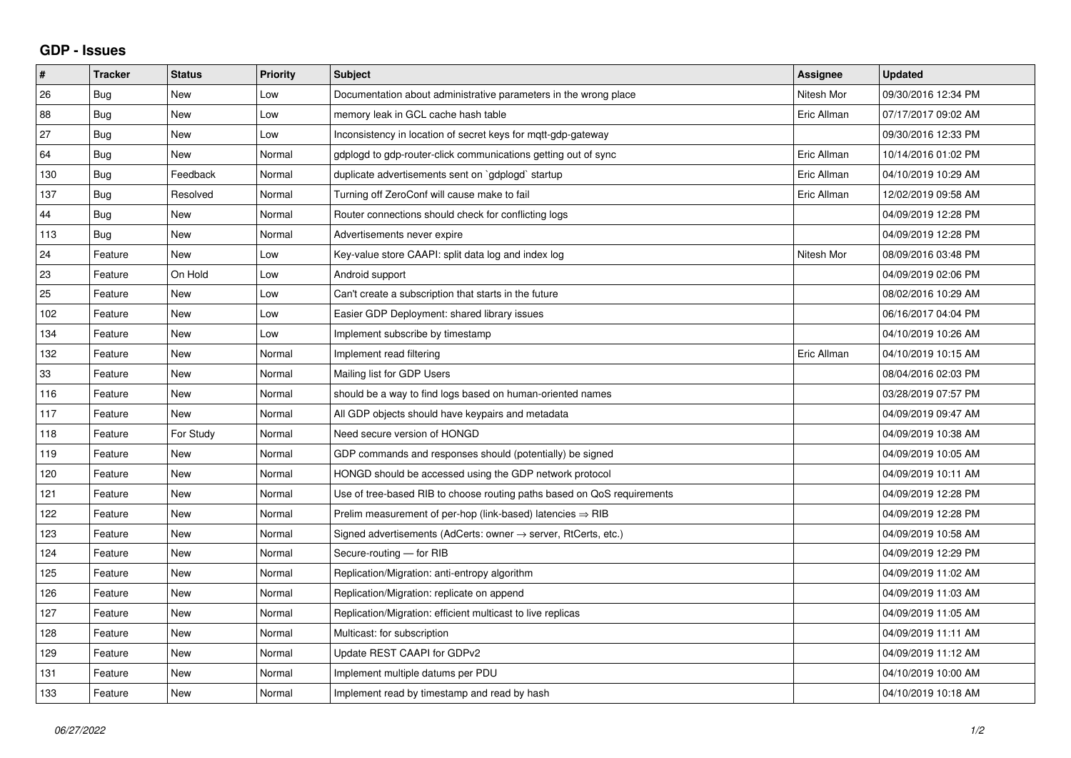## **GDP - Issues**

| #   | <b>Tracker</b> | <b>Status</b> | <b>Priority</b> | <b>Subject</b>                                                          | Assignee    | <b>Updated</b>      |
|-----|----------------|---------------|-----------------|-------------------------------------------------------------------------|-------------|---------------------|
| 26  | Bug            | <b>New</b>    | Low             | Documentation about administrative parameters in the wrong place        | Nitesh Mor  | 09/30/2016 12:34 PM |
| 88  | Bug            | <b>New</b>    | Low             | memory leak in GCL cache hash table                                     | Eric Allman | 07/17/2017 09:02 AM |
| 27  | <b>Bug</b>     | New           | Low             | Inconsistency in location of secret keys for mqtt-gdp-gateway           |             | 09/30/2016 12:33 PM |
| 64  | Bug            | New           | Normal          | gdplogd to gdp-router-click communications getting out of sync          | Eric Allman | 10/14/2016 01:02 PM |
| 130 | Bug            | Feedback      | Normal          | duplicate advertisements sent on `gdplogd` startup                      | Eric Allman | 04/10/2019 10:29 AM |
| 137 | <b>Bug</b>     | Resolved      | Normal          | Turning off ZeroConf will cause make to fail                            | Eric Allman | 12/02/2019 09:58 AM |
| 44  | Bug            | <b>New</b>    | Normal          | Router connections should check for conflicting logs                    |             | 04/09/2019 12:28 PM |
| 113 | Bug            | <b>New</b>    | Normal          | Advertisements never expire                                             |             | 04/09/2019 12:28 PM |
| 24  | Feature        | New           | Low             | Key-value store CAAPI: split data log and index log                     | Nitesh Mor  | 08/09/2016 03:48 PM |
| 23  | Feature        | On Hold       | Low             | Android support                                                         |             | 04/09/2019 02:06 PM |
| 25  | Feature        | <b>New</b>    | Low             | Can't create a subscription that starts in the future                   |             | 08/02/2016 10:29 AM |
| 102 | Feature        | <b>New</b>    | Low             | Easier GDP Deployment: shared library issues                            |             | 06/16/2017 04:04 PM |
| 134 | Feature        | <b>New</b>    | Low             | Implement subscribe by timestamp                                        |             | 04/10/2019 10:26 AM |
| 132 | Feature        | <b>New</b>    | Normal          | Implement read filtering                                                | Eric Allman | 04/10/2019 10:15 AM |
| 33  | Feature        | <b>New</b>    | Normal          | Mailing list for GDP Users                                              |             | 08/04/2016 02:03 PM |
| 116 | Feature        | <b>New</b>    | Normal          | should be a way to find logs based on human-oriented names              |             | 03/28/2019 07:57 PM |
| 117 | Feature        | <b>New</b>    | Normal          | All GDP objects should have keypairs and metadata                       |             | 04/09/2019 09:47 AM |
| 118 | Feature        | For Study     | Normal          | Need secure version of HONGD                                            |             | 04/09/2019 10:38 AM |
| 119 | Feature        | <b>New</b>    | Normal          | GDP commands and responses should (potentially) be signed               |             | 04/09/2019 10:05 AM |
| 120 | Feature        | <b>New</b>    | Normal          | HONGD should be accessed using the GDP network protocol                 |             | 04/09/2019 10:11 AM |
| 121 | Feature        | New           | Normal          | Use of tree-based RIB to choose routing paths based on QoS requirements |             | 04/09/2019 12:28 PM |
| 122 | Feature        | <b>New</b>    | Normal          | Prelim measurement of per-hop (link-based) latencies $\Rightarrow$ RIB  |             | 04/09/2019 12:28 PM |
| 123 | Feature        | <b>New</b>    | Normal          | Signed advertisements (AdCerts: owner → server, RtCerts, etc.)          |             | 04/09/2019 10:58 AM |
| 124 | Feature        | <b>New</b>    | Normal          | Secure-routing - for RIB                                                |             | 04/09/2019 12:29 PM |
| 125 | Feature        | <b>New</b>    | Normal          | Replication/Migration: anti-entropy algorithm                           |             | 04/09/2019 11:02 AM |
| 126 | Feature        | <b>New</b>    | Normal          | Replication/Migration: replicate on append                              |             | 04/09/2019 11:03 AM |
| 127 | Feature        | <b>New</b>    | Normal          | Replication/Migration: efficient multicast to live replicas             |             | 04/09/2019 11:05 AM |
| 128 | Feature        | <b>New</b>    | Normal          | Multicast: for subscription                                             |             | 04/09/2019 11:11 AM |
| 129 | Feature        | <b>New</b>    | Normal          | Update REST CAAPI for GDPv2                                             |             | 04/09/2019 11:12 AM |
| 131 | Feature        | <b>New</b>    | Normal          | Implement multiple datums per PDU                                       |             | 04/10/2019 10:00 AM |
| 133 | Feature        | <b>New</b>    | Normal          | Implement read by timestamp and read by hash                            |             | 04/10/2019 10:18 AM |